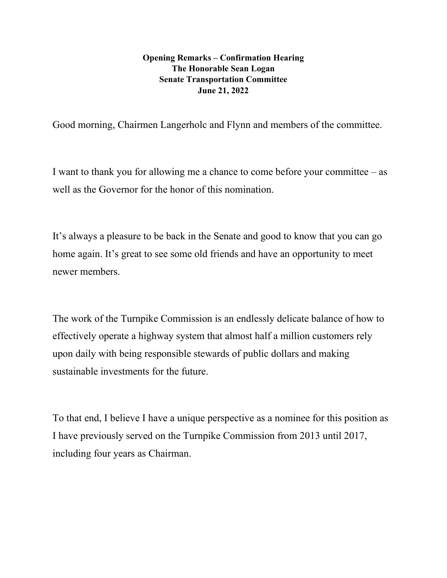## **Opening Remarks – Confirmation Hearing The Honorable Sean Logan Senate Transportation Committee June 21, 2022**

Good morning, Chairmen Langerholc and Flynn and members of the committee.

I want to thank you for allowing me a chance to come before your committee – as well as the Governor for the honor of this nomination.

It's always a pleasure to be back in the Senate and good to know that you can go home again. It's great to see some old friends and have an opportunity to meet newer members.

The work of the Turnpike Commission is an endlessly delicate balance of how to effectively operate a highway system that almost half a million customers rely upon daily with being responsible stewards of public dollars and making sustainable investments for the future.

To that end, I believe I have a unique perspective as a nominee for this position as I have previously served on the Turnpike Commission from 2013 until 2017, including four years as Chairman.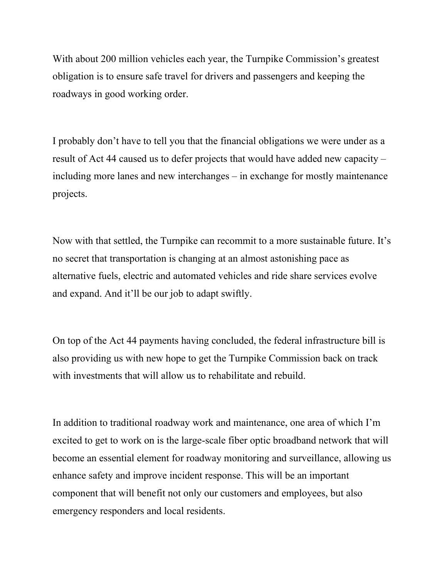With about 200 million vehicles each year, the Turnpike Commission's greatest obligation is to ensure safe travel for drivers and passengers and keeping the roadways in good working order.

I probably don't have to tell you that the financial obligations we were under as a result of Act 44 caused us to defer projects that would have added new capacity – including more lanes and new interchanges – in exchange for mostly maintenance projects.

Now with that settled, the Turnpike can recommit to a more sustainable future. It's no secret that transportation is changing at an almost astonishing pace as alternative fuels, electric and automated vehicles and ride share services evolve and expand. And it'll be our job to adapt swiftly.

On top of the Act 44 payments having concluded, the federal infrastructure bill is also providing us with new hope to get the Turnpike Commission back on track with investments that will allow us to rehabilitate and rebuild.

In addition to traditional roadway work and maintenance, one area of which I'm excited to get to work on is the large-scale fiber optic broadband network that will become an essential element for roadway monitoring and surveillance, allowing us enhance safety and improve incident response. This will be an important component that will benefit not only our customers and employees, but also emergency responders and local residents.